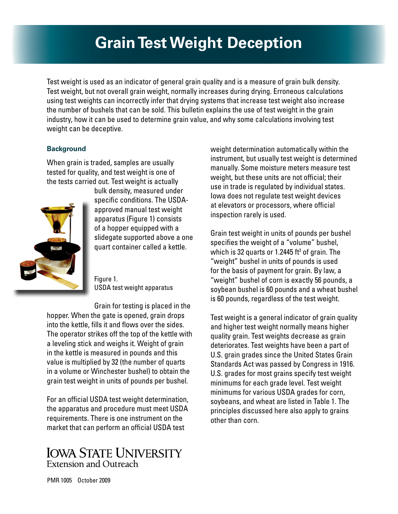# **Grain Test Weight Deception**

Test weight is used as an indicator of general grain quality and is a measure of grain bulk density. Test weight, but not overall grain weight, normally increases during drying. Erroneous calculations using test weights can incorrectly infer that drying systems that increase test weight also increase the number of bushels that can be sold. This bulletin explains the use of test weight in the grain industry, how it can be used to determine grain value, and why some calculations involving test weight can be deceptive.

### **Background**

When grain is traded, samples are usually tested for quality, and test weight is one of the tests carried out. Test weight is actually



bulk density, measured under specific conditions. The USDAapproved manual test weight apparatus (Figure 1) consists of a hopper equipped with a slidegate supported above a one quart container called a kettle.

Figure 1. USDA test weight apparatus

Grain for testing is placed in the hopper. When the gate is opened, grain drops into the kettle, fills it and flows over the sides. The operator strikes off the top of the kettle with a leveling stick and weighs it. Weight of grain in the kettle is measured in pounds and this value is multiplied by 32 (the number of quarts in a volume or Winchester bushel) to obtain the grain test weight in units of pounds per bushel.

For an official USDA test weight determination, the apparatus and procedure must meet USDA requirements. There is one instrument on the market that can perform an official USDA test

## **IOWA STATE UNIVERSITY Extension and Outreach**

weight determination automatically within the instrument, but usually test weight is determined manually. Some moisture meters measure test weight, but these units are not official; their use in trade is regulated by individual states. Iowa does not regulate test weight devices at elevators or processors, where official inspection rarely is used.

Grain test weight in units of pounds per bushel specifies the weight of a "volume" bushel, which is 32 quarts or 1.2445 ft $^{\rm 3}$  of grain. The "weight" bushel in units of pounds is used for the basis of payment for grain. By law, a "weight" bushel of corn is exactly 56 pounds, a soybean bushel is 60 pounds and a wheat bushel is 60 pounds, regardless of the test weight.

Test weight is a general indicator of grain quality and higher test weight normally means higher quality grain. Test weights decrease as grain deteriorates. Test weights have been a part of U.S. grain grades since the United States Grain Standards Act was passed by Congress in 1916. U.S. grades for most grains specify test weight minimums for each grade level. Test weight minimums for various USDA grades for corn, soybeans, and wheat are listed in Table 1. The principles discussed here also apply to grains other than corn.

PMR 1005 October 2009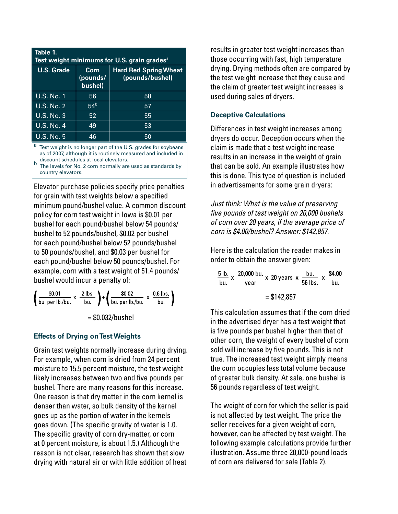| Table 1.<br>Test weight minimums for U.S. grain grades <sup>a</sup> |                             |                                                 |  |  |
|---------------------------------------------------------------------|-----------------------------|-------------------------------------------------|--|--|
| <b>U.S. Grade</b>                                                   | Corn<br>(pounds/<br>bushel) | <b>Hard Red Spring Wheat</b><br>(pounds/bushel) |  |  |
| <b>U.S. No. 1</b>                                                   | 56.                         | 58                                              |  |  |
| <b>U.S. No. 2</b>                                                   | 54 <sup>b</sup>             | 57                                              |  |  |
| U.S. No. 3                                                          | 52                          | 55                                              |  |  |
| <b>U.S. No. 4</b>                                                   | 49                          | 53                                              |  |  |
| <b>U.S. No. 5</b>                                                   | 46                          | 50                                              |  |  |

a Test weight is no longer part of the U.S. grades for soybeans as of 2007, although it is routinely measured and included in discount schedules at local elevators.

discount schedules at local elevators. b The levels for No. 2 corn normally are used as standards by country elevators.

Elevator purchase policies specify price penalties for grain with test weights below a specified minimum pound/bushel value. A common discount policy for corn test weight in Iowa is \$0.01 per bushel for each pound/bushel below 54 pounds/ bushel to 52 pounds/bushel, \$0.02 per bushel for each pound/bushel below 52 pounds/bushel to 50 pounds/bushel, and \$0.03 per bushel for each pound/bushel below 50 pounds/bushel. For example, corn with a test weight of 51.4 pounds/ bushel would incur a penalty of:

$$
\left(\frac{\$0.01}{\text{bu. per lb/bu.}} \times \frac{2 \text{ lbs.}}{\text{bu.}}\right) + \left(\frac{\$0.02}{\text{bu. per lb/bu.}} \times \frac{0.6 \text{ lbs.}}{\text{bu.}}\right)
$$

 $=$  \$0.032/bushel

#### **Effects of Drying on Test Weights**

Grain test weights normally increase during drying. For example, when corn is dried from 24 percent moisture to 15.5 percent moisture, the test weight likely increases between two and five pounds per bushel. There are many reasons for this increase. One reason is that dry matter in the corn kernel is denser than water, so bulk density of the kernel goes up as the portion of water in the kernels goes down. (The specific gravity of water is 1.0. The specific gravity of corn dry-matter, or corn at 0 percent moisture, is about 1.5.) Although the reason is not clear, research has shown that slow drying with natural air or with little addition of heat

results in greater test weight increases than those occurring with fast, high temperature drying. Drying methods often are compared by the test weight increase that they cause and the claim of greater test weight increases is used during sales of dryers.

#### **Deceptive Calculations**

Differences in test weight increases among dryers do occur. Deception occurs when the claim is made that a test weight increase results in an increase in the weight of grain that can be sold. An example illustrates how this is done. This type of question is included in advertisements for some grain dryers:

*Just think: What is the value of preserving five pounds of test weight on 20,000 bushels of corn over 20 years, if the average price of corn is \$4.00/bushel? Answer: \$142,857*.

Here is the calculation the reader makes in order to obtain the answer given:

$$
\frac{5 \text{ lb.}}{\text{ bu.}} \times \frac{20,000 \text{ bu.}}{\text{year}} \times 20 \text{ years} \times \frac{\text{ bu.}}{56 \text{ lbs.}} \times \frac{$4.00}{\text{ bu.}} \\
 = $142,857
$$

This calculation assumes that if the corn dried in the advertised dryer has a test weight that is five pounds per bushel higher than that of other corn, the weight of every bushel of corn sold will increase by five pounds. This is not true. The increased test weight simply means the corn occupies less total volume because of greater bulk density. At sale, one bushel is 56 pounds regardless of test weight.

The weight of corn for which the seller is paid is not affected by test weight. The price the seller receives for a given weight of corn, however, can be affected by test weight. The following example calculations provide further illustration. Assume three 20,000-pound loads of corn are delivered for sale (Table 2).